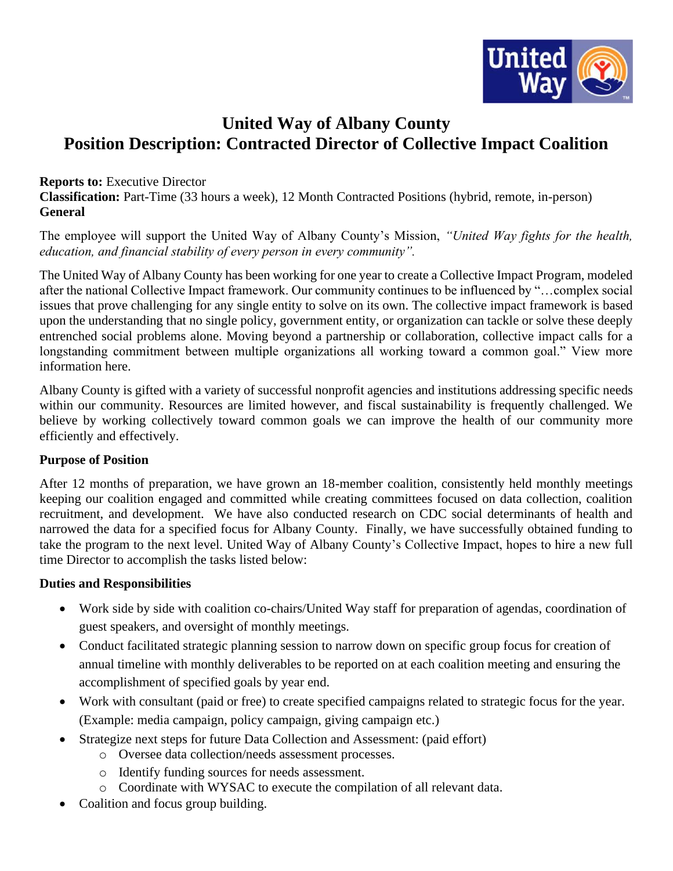

# **United Way of Albany County Position Description: Contracted Director of Collective Impact Coalition**

#### **Reports to:** Executive Director

**Classification:** Part-Time (33 hours a week), 12 Month Contracted Positions (hybrid, remote, in-person) **General**

The employee will support the United Way of Albany County's Mission, *"United Way fights for the health, education, and financial stability of every person in every community".*

The United Way of Albany County has been working for one year to create a Collective Impact Program, modeled after the national Collective Impact framework. Our community continues to be influenced by "…complex social issues that prove challenging for any single entity to solve on its own. The collective impact framework is based upon the understanding that no single policy, government entity, or organization can tackle or solve these deeply entrenched social problems alone. Moving beyond a partnership or collaboration, collective impact calls for a longstanding commitment between multiple organizations all working toward a common goal." View more information here.

Albany County is gifted with a variety of successful nonprofit agencies and institutions addressing specific needs within our community. Resources are limited however, and fiscal sustainability is frequently challenged. We believe by working collectively toward common goals we can improve the health of our community more efficiently and effectively.

#### **Purpose of Position**

After 12 months of preparation, we have grown an 18-member coalition, consistently held monthly meetings keeping our coalition engaged and committed while creating committees focused on data collection, coalition recruitment, and development. We have also conducted research on CDC social determinants of health and narrowed the data for a specified focus for Albany County. Finally, we have successfully obtained funding to take the program to the next level. United Way of Albany County's Collective Impact, hopes to hire a new full time Director to accomplish the tasks listed below:

#### **Duties and Responsibilities**

- Work side by side with coalition co-chairs/United Way staff for preparation of agendas, coordination of guest speakers, and oversight of monthly meetings.
- Conduct facilitated strategic planning session to narrow down on specific group focus for creation of annual timeline with monthly deliverables to be reported on at each coalition meeting and ensuring the accomplishment of specified goals by year end.
- Work with consultant (paid or free) to create specified campaigns related to strategic focus for the year. (Example: media campaign, policy campaign, giving campaign etc.)
- Strategize next steps for future Data Collection and Assessment: (paid effort)
	- o Oversee data collection/needs assessment processes.
	- o Identify funding sources for needs assessment.
	- o Coordinate with WYSAC to execute the compilation of all relevant data.
- Coalition and focus group building.